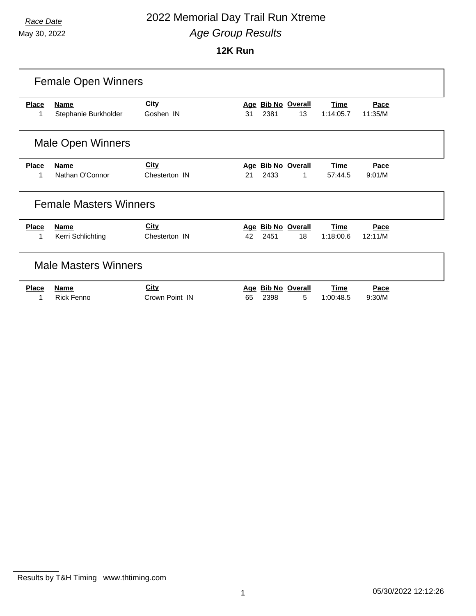### *Race Date* 2022 Memorial Day Trail Run Xtreme *Age Group Results*

|              | <b>Female Open Winners</b>    |                |     |      |                       |             |         |  |  |
|--------------|-------------------------------|----------------|-----|------|-----------------------|-------------|---------|--|--|
| <b>Place</b> | <b>Name</b>                   | <b>City</b>    | Age |      | <b>Bib No Overall</b> | <b>Time</b> | Pace    |  |  |
| 1            | Stephanie Burkholder          | Goshen IN      | 31  | 2381 | 13                    | 1:14:05.7   | 11:35/M |  |  |
|              | <b>Male Open Winners</b>      |                |     |      |                       |             |         |  |  |
| <b>Place</b> | <b>Name</b>                   | <b>City</b>    |     |      | Age Bib No Overall    | Time        | Pace    |  |  |
| 1            | Nathan O'Connor               | Chesterton IN  | 21  | 2433 | 1                     | 57:44.5     | 9:01/M  |  |  |
|              | <b>Female Masters Winners</b> |                |     |      |                       |             |         |  |  |
| <b>Place</b> | <b>Name</b>                   | <b>City</b>    |     |      | Age Bib No Overall    | <b>Time</b> | Pace    |  |  |
| 1            | Kerri Schlichting             | Chesterton IN  | 42  | 2451 | 18                    | 1:18:00.6   | 12:11/M |  |  |
|              | <b>Male Masters Winners</b>   |                |     |      |                       |             |         |  |  |
| <b>Place</b> | <b>Name</b>                   | City           | Aae |      | <b>Bib No Overall</b> | <b>Time</b> | Pace    |  |  |
|              | <b>Rick Fenno</b>             | Crown Point IN | 65  | 2398 | 5                     | 1:00:48.5   | 9:30/M  |  |  |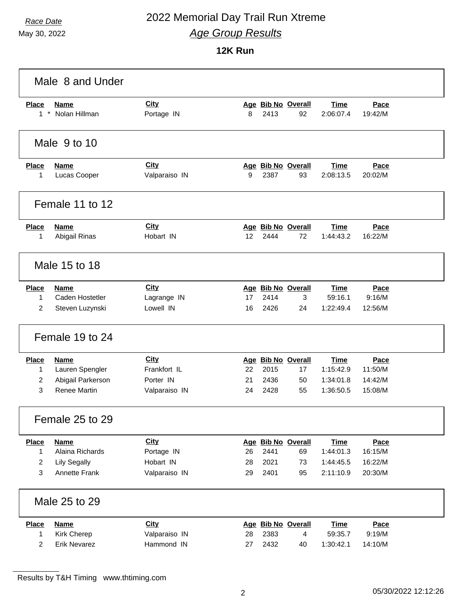### *Race Date* 2022 Memorial Day Trail Run Xtreme *Age Group Results*

**12K Run**

|                | Male 8 and Under     |               |    |      |                    |             |         |  |
|----------------|----------------------|---------------|----|------|--------------------|-------------|---------|--|
| <b>Place</b>   | <b>Name</b>          | <b>City</b>   |    |      | Age Bib No Overall | <b>Time</b> | Pace    |  |
| $1*$           | Nolan Hillman        | Portage IN    | 8  | 2413 | 92                 | 2:06:07.4   | 19:42/M |  |
|                | Male 9 to 10         |               |    |      |                    |             |         |  |
| <b>Place</b>   | <b>Name</b>          | City          |    |      | Age Bib No Overall | <b>Time</b> | Pace    |  |
| 1              | Lucas Cooper         | Valparaiso IN | 9  | 2387 | 93                 | 2:08:13.5   | 20:02/M |  |
|                | Female 11 to 12      |               |    |      |                    |             |         |  |
| <b>Place</b>   | <b>Name</b>          | <b>City</b>   |    |      | Age Bib No Overall | <b>Time</b> | Pace    |  |
| 1              | Abigail Rinas        | Hobart IN     | 12 | 2444 | 72                 | 1:44:43.2   | 16:22/M |  |
|                | Male 15 to 18        |               |    |      |                    |             |         |  |
| <b>Place</b>   | <b>Name</b>          | City          |    |      | Age Bib No Overall | <b>Time</b> | Pace    |  |
| 1              | Caden Hostetler      | Lagrange IN   | 17 | 2414 | 3                  | 59:16.1     | 9:16/M  |  |
| $\overline{2}$ | Steven Luzynski      | Lowell IN     | 16 | 2426 | 24                 | 1:22:49.4   | 12:56/M |  |
|                | Female 19 to 24      |               |    |      |                    |             |         |  |
| <b>Place</b>   | <b>Name</b>          | City          |    |      | Age Bib No Overall | <b>Time</b> | Pace    |  |
| $\mathbf{1}$   | Lauren Spengler      | Frankfort IL  | 22 | 2015 | 17                 | 1:15:42.9   | 11:50/M |  |
| 2              | Abigail Parkerson    | Porter IN     | 21 | 2436 | 50                 | 1:34:01.8   | 14:42/M |  |
| 3              | <b>Renee Martin</b>  | Valparaiso IN | 24 | 2428 | 55                 | 1:36:50.5   | 15:08/M |  |
|                | Female 25 to 29      |               |    |      |                    |             |         |  |
| <b>Place</b>   | <b>Name</b>          | City          |    |      | Age Bib No Overall | <b>Time</b> | Pace    |  |
| $\mathbf{1}$   | Alaina Richards      | Portage IN    | 26 | 2441 | 69                 | 1:44:01.3   | 16:15/M |  |
| $\overline{2}$ | <b>Lily Segally</b>  | Hobart IN     | 28 | 2021 | 73                 | 1:44:45.5   | 16:22/M |  |
| $\mathbf{3}$   | <b>Annette Frank</b> | Valparaiso IN | 29 | 2401 | 95                 | 2:11:10.9   | 20:30/M |  |
|                | Male 25 to 29        |               |    |      |                    |             |         |  |
| <b>Place</b>   | <b>Name</b>          | City          |    |      | Age Bib No Overall | <b>Time</b> | Pace    |  |
| $\mathbf{1}$   | <b>Kirk Cherep</b>   | Valparaiso IN | 28 | 2383 | 4                  | 59:35.7     | 9:19/M  |  |
| $\overline{2}$ | <b>Erik Nevarez</b>  | Hammond IN    | 27 | 2432 | 40                 | 1:30:42.1   | 14:10/M |  |

Results by T&H Timing www.thtiming.com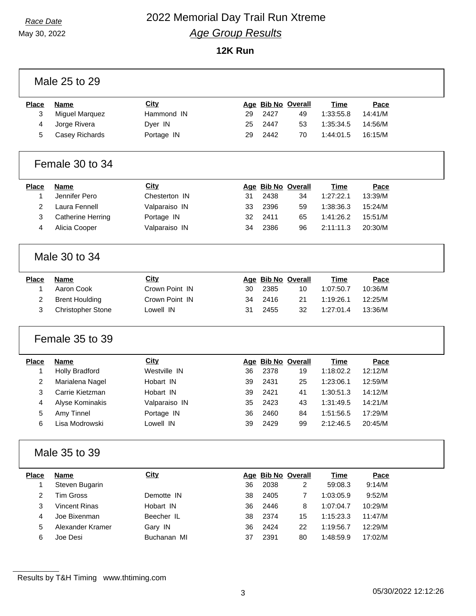### *Race Date* 2022 Memorial Day Trail Run Xtreme *Age Group Results*

**12K Run**

|                         | Male 25 to 29            |                |    |      |                    |             |         |  |
|-------------------------|--------------------------|----------------|----|------|--------------------|-------------|---------|--|
| <b>Place</b>            | <b>Name</b>              | City           |    |      | Age Bib No Overall | <b>Time</b> | Pace    |  |
| 3                       | <b>Miguel Marquez</b>    | Hammond IN     | 29 | 2427 | 49                 | 1:33:55.8   | 14:41/M |  |
| 4                       | Jorge Rivera             | Dyer IN        | 25 | 2447 | 53                 | 1:35:34.5   | 14:56/M |  |
| 5                       | Casey Richards           | Portage IN     | 29 | 2442 | 70                 | 1:44:01.5   | 16:15/M |  |
|                         | Female 30 to 34          |                |    |      |                    |             |         |  |
| <b>Place</b>            | <b>Name</b>              | <b>City</b>    |    |      | Age Bib No Overall | Time        | Pace    |  |
| 1                       | Jennifer Pero            | Chesterton IN  | 31 | 2438 | 34                 | 1:27:22.1   | 13:39/M |  |
| $\overline{2}$          | Laura Fennell            | Valparaiso IN  | 33 | 2396 | 59                 | 1:38:36.3   | 15:24/M |  |
| 3                       | <b>Catherine Herring</b> | Portage IN     | 32 | 2411 | 65                 | 1:41:26.2   | 15:51/M |  |
| 4                       | Alicia Cooper            | Valparaiso IN  | 34 | 2386 | 96                 | 2:11:11.3   | 20:30/M |  |
|                         | Male 30 to 34            |                |    |      |                    |             |         |  |
| <b>Place</b>            | <b>Name</b>              | City           |    |      | Age Bib No Overall | <b>Time</b> | Pace    |  |
| 1                       | Aaron Cook               | Crown Point IN | 30 | 2385 | 10                 | 1:07:50.7   | 10:36/M |  |
| 2                       | <b>Brent Houlding</b>    | Crown Point IN | 34 | 2416 | 21                 | 1:19:26.1   | 12:25/M |  |
| 3                       | <b>Christopher Stone</b> | Lowell IN      | 31 | 2455 | 32                 | 1:27:01.4   | 13:36/M |  |
|                         | Female 35 to 39          |                |    |      |                    |             |         |  |
| <b>Place</b>            | <b>Name</b>              | City           |    |      | Age Bib No Overall | <b>Time</b> | Pace    |  |
| 1                       | <b>Holly Bradford</b>    | Westville IN   | 36 | 2378 | 19                 | 1:18:02.2   | 12:12/M |  |
| $\overline{2}$          | Marialena Nagel          | Hobart IN      | 39 | 2431 | 25                 | 1:23:06.1   | 12:59/M |  |
| 3                       | Carrie Kietzman          | Hobart IN      | 39 | 2421 | 41                 | 1:30:51.3   | 14:12/M |  |
| 4                       | Alyse Kominakis          | Valparaiso IN  | 35 | 2423 | 43                 | 1:31:49.5   | 14:21/M |  |
| 5                       | Amy Tinnel               | Portage IN     | 36 | 2460 | 84                 | 1:51:56.5   | 17:29/M |  |
| 6                       | Lisa Modrowski           | Lowell IN      | 39 | 2429 | 99                 | 2:12:46.5   | 20:45/M |  |
|                         | Male 35 to 39            |                |    |      |                    |             |         |  |
| <b>Place</b>            | <b>Name</b>              | <b>City</b>    |    |      | Age Bib No Overall | <b>Time</b> | Pace    |  |
| 1                       | Steven Bugarin           |                | 36 | 2038 | $\overline{2}$     | 59:08.3     | 9:14/M  |  |
|                         |                          |                |    |      |                    |             |         |  |
| $\overline{\mathbf{c}}$ | <b>Tim Gross</b>         | Demotte IN     | 38 | 2405 | $\overline{7}$     | 1:03:05.9   | 9:52/M  |  |
| 3                       | <b>Vincent Rinas</b>     | Hobart IN      | 36 | 2446 | 8                  | 1:07:04.7   | 10:29/M |  |
| 4                       | Joe Bixenman             | Beecher IL     | 38 | 2374 | 15                 | 1:15:23.3   | 11:47/M |  |
| 5                       | Alexander Kramer         | Gary IN        | 36 | 2424 | 22                 | 1:19:56.7   | 12:29/M |  |

Results by T&H Timing www.thtiming.com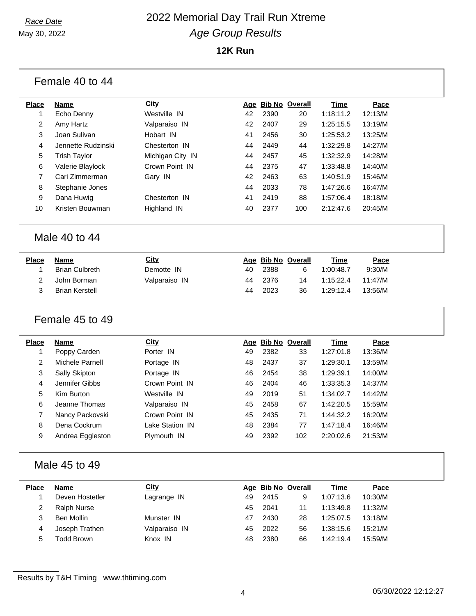## *Race Date* 2022 Memorial Day Trail Run Xtreme *Age Group Results*

|                | Female 40 to 44       |                  |    |      |                    |             |         |  |
|----------------|-----------------------|------------------|----|------|--------------------|-------------|---------|--|
| <b>Place</b>   | <b>Name</b>           | City             |    |      | Age Bib No Overall | <b>Time</b> | Pace    |  |
| 1              | Echo Denny            | Westville IN     | 42 | 2390 | 20                 | 1:18:11.2   | 12:13/M |  |
| 2              | Amy Hartz             | Valparaiso IN    | 42 | 2407 | 29                 | 1:25:15.5   | 13:19/M |  |
| 3              | Joan Sulivan          | Hobart IN        | 41 | 2456 | 30                 | 1:25:53.2   | 13:25/M |  |
| 4              | Jennette Rudzinski    | Chesterton IN    | 44 | 2449 | 44                 | 1:32:29.8   | 14:27/M |  |
| 5              | <b>Trish Taylor</b>   | Michigan City IN | 44 | 2457 | 45                 | 1:32:32.9   | 14:28/M |  |
| 6              | Valerie Blaylock      | Crown Point IN   | 44 | 2375 | 47                 | 1:33:48.8   | 14:40/M |  |
| $\overline{7}$ | Cari Zimmerman        | Gary IN          | 42 | 2463 | 63                 | 1:40:51.9   | 15:46/M |  |
| 8              | Stephanie Jones       |                  | 44 | 2033 | 78                 | 1:47:26.6   | 16:47/M |  |
| 9              | Dana Huwig            | Chesterton IN    | 41 | 2419 | 88                 | 1:57:06.4   | 18:18/M |  |
| 10             | Kristen Bouwman       | Highland IN      | 40 | 2377 | 100                | 2:12:47.6   | 20:45/M |  |
|                | Male 40 to 44         |                  |    |      |                    |             |         |  |
| <b>Place</b>   | <b>Name</b>           | City             |    |      | Age Bib No Overall | <b>Time</b> | Pace    |  |
| 1              | <b>Brian Culbreth</b> | Demotte IN       | 40 | 2388 | 6                  | 1:00:48.7   | 9:30/M  |  |
| 2              | John Borman           | Valparaiso IN    | 44 | 2376 | 14                 | 1:15:22.4   | 11:47/M |  |
| 3              | <b>Brian Kerstell</b> |                  | 44 | 2023 | 36                 | 1:29:12.4   | 13:56/M |  |
|                |                       |                  |    |      |                    |             |         |  |
|                | Female 45 to 49       |                  |    |      |                    |             |         |  |
| <b>Place</b>   | <b>Name</b>           | City             |    |      | Age Bib No Overall | <b>Time</b> | Pace    |  |
| 1              | Poppy Carden          | Porter IN        | 49 | 2382 | 33                 | 1:27:01.8   | 13:36/M |  |
| 2              | Michele Parnell       | Portage IN       | 48 | 2437 | 37                 | 1:29:30.1   | 13:59/M |  |
| 3              | Sally Skipton         | Portage IN       | 46 | 2454 | 38                 | 1:29:39.1   | 14:00/M |  |
| 4              | Jennifer Gibbs        | Crown Point IN   | 46 | 2404 | 46                 | 1:33:35.3   | 14:37/M |  |
| 5              | Kim Burton            | Westville IN     | 49 | 2019 | 51                 | 1:34:02.7   | 14:42/M |  |
| 6              | Jeanne Thomas         | Valparaiso IN    | 45 | 2458 | 67                 | 1:42:20.5   | 15:59/M |  |
| $\overline{7}$ | Nancy Packovski       | Crown Point IN   | 45 | 2435 | 71                 | 1:44:32.2   | 16:20/M |  |
| 8              | Dena Cockrum          | Lake Station IN  | 48 | 2384 | 77                 | 1:47:18.4   | 16:46/M |  |
| 9              | Andrea Eggleston      | Plymouth IN      | 49 | 2392 | 102                | 2:20:02.6   | 21:53/M |  |
|                | Male 45 to 49         |                  |    |      |                    |             |         |  |
| <b>Place</b>   | <b>Name</b>           | <b>City</b>      |    |      | Age Bib No Overall | <b>Time</b> | Pace    |  |
| 1              | Deven Hostetler       | Lagrange IN      | 49 | 2415 | 9                  | 1:07:13.6   | 10:30/M |  |
| 2              | <b>Ralph Nurse</b>    |                  | 45 | 2041 | 11                 | 1:13:49.8   | 11:32/M |  |
| 3              | <b>Ben Mollin</b>     | Munster IN       | 47 | 2430 | 28                 | 1:25:07.5   | 13:18/M |  |
| 4              | Joseph Trathen        | Valparaiso IN    | 45 | 2022 | 56                 | 1:38:15.6   | 15:21/M |  |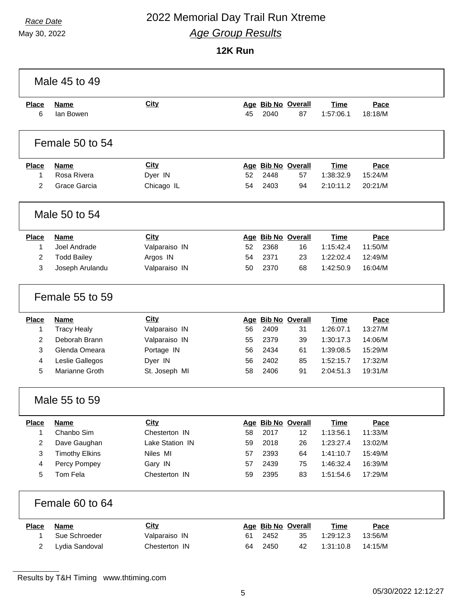### *Race Date* 2022 Memorial Day Trail Run Xtreme *Age Group Results*

May 30, 2022

|                   | Male 45 to 49            |                 |    |      |                          |                          |                 |  |
|-------------------|--------------------------|-----------------|----|------|--------------------------|--------------------------|-----------------|--|
| <b>Place</b><br>6 | <b>Name</b><br>lan Bowen | <b>City</b>     | 45 | 2040 | Age Bib No Overall<br>87 | <b>Time</b><br>1:57:06.1 | Pace<br>18:18/M |  |
|                   | Female 50 to 54          |                 |    |      |                          |                          |                 |  |
| <b>Place</b>      | <b>Name</b>              | City            |    |      | Age Bib No Overall       | <b>Time</b>              | Pace            |  |
| 1                 | Rosa Rivera              | Dyer IN         | 52 | 2448 | 57                       | 1:38:32.9                | 15:24/M         |  |
| 2                 | Grace Garcia             | Chicago IL      | 54 | 2403 | 94                       | 2:10:11.2                | 20:21/M         |  |
|                   | Male 50 to 54            |                 |    |      |                          |                          |                 |  |
| <b>Place</b>      | <b>Name</b>              | City            |    |      | Age Bib No Overall       | Time                     | Pace            |  |
| 1                 | Joel Andrade             | Valparaiso IN   | 52 | 2368 | 16                       | 1:15:42.4                | 11:50/M         |  |
| $\overline{2}$    | <b>Todd Bailey</b>       | Argos IN        | 54 | 2371 | 23                       | 1:22:02.4                | 12:49/M         |  |
| 3                 | Joseph Arulandu          | Valparaiso IN   | 50 | 2370 | 68                       | 1:42:50.9                | 16:04/M         |  |
|                   | Female 55 to 59          |                 |    |      |                          |                          |                 |  |
| <b>Place</b>      | <b>Name</b>              | City            |    |      | Age Bib No Overall       | <b>Time</b>              | Pace            |  |
| 1                 | <b>Tracy Healy</b>       | Valparaiso IN   | 56 | 2409 | 31                       | 1:26:07.1                | 13:27/M         |  |
| 2                 | Deborah Brann            | Valparaiso IN   | 55 | 2379 | 39                       | 1:30:17.3                | 14:06/M         |  |
| 3                 | Glenda Omeara            | Portage IN      | 56 | 2434 | 61                       | 1:39:08.5                | 15:29/M         |  |
| 4                 | Leslie Gallegos          | Dyer IN         | 56 | 2402 | 85                       | 1:52:15.7                | 17:32/M         |  |
| 5                 | Marianne Groth           | St. Joseph MI   | 58 | 2406 | 91                       | 2:04:51.3                | 19:31/M         |  |
|                   | Male 55 to 59            |                 |    |      |                          |                          |                 |  |
| <b>Place</b>      | <b>Name</b>              | <b>City</b>     |    |      | Age Bib No Overall       | <b>Time</b>              | Pace            |  |
| $\mathbf{1}$      | Chanbo Sim               | Chesterton IN   | 58 | 2017 | 12                       | 1:13:56.1                | 11:33/M         |  |
| 2                 | Dave Gaughan             | Lake Station IN | 59 | 2018 | 26                       | 1:23:27.4                | 13:02/M         |  |
| 3                 | <b>Timothy Elkins</b>    | Niles MI        | 57 | 2393 | 64                       | 1:41:10.7                | 15:49/M         |  |
| 4                 | Percy Pompey             | Gary IN         | 57 | 2439 | 75                       | 1:46:32.4                | 16:39/M         |  |
| 5                 | Tom Fela                 | Chesterton IN   | 59 | 2395 | 83                       | 1:51:54.6                | 17:29/M         |  |
|                   | Female 60 to 64          |                 |    |      |                          |                          |                 |  |
| <b>Place</b>      | <b>Name</b>              | <b>City</b>     |    |      | Age Bib No Overall       | <b>Time</b>              | Pace            |  |
| 1                 | Sue Schroeder            | Valparaiso IN   | 61 | 2452 | 35                       | 1:29:12.3                | 13:56/M         |  |
| 2                 | Lydia Sandoval           | Chesterton IN   | 64 | 2450 | 42                       | 1:31:10.8                | 14:15/M         |  |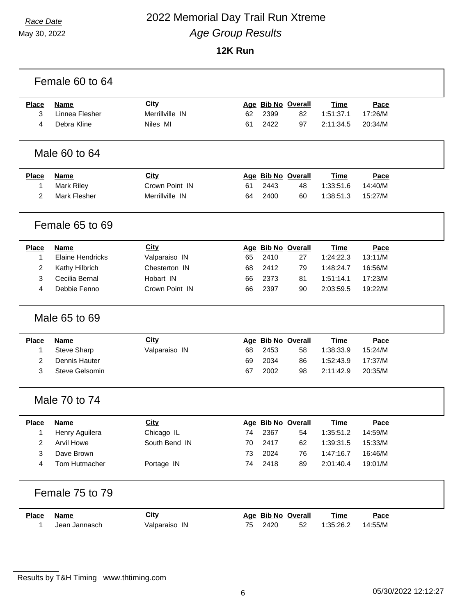### *Race Date* 2022 Memorial Day Trail Run Xtreme *Age Group Results*

|                | Female 60 to 64         |                 |    |                    |                    |             |         |  |
|----------------|-------------------------|-----------------|----|--------------------|--------------------|-------------|---------|--|
| <b>Place</b>   | <b>Name</b>             | City            |    |                    | Age Bib No Overall | <b>Time</b> | Pace    |  |
| 3              | Linnea Flesher          | Merrillville IN | 62 | 2399               | 82                 | 1:51:37.1   | 17:26/M |  |
| 4              | Debra Kline             | Niles MI        | 61 | 2422               | 97                 | 2:11:34.5   | 20:34/M |  |
|                | Male 60 to 64           |                 |    |                    |                    |             |         |  |
| <b>Place</b>   | <b>Name</b>             | City            |    |                    | Age Bib No Overall | <b>Time</b> | Pace    |  |
| 1              | <b>Mark Riley</b>       | Crown Point IN  | 61 | 2443               | 48                 | 1:33:51.6   | 14:40/M |  |
| 2              | <b>Mark Flesher</b>     | Merrillville IN | 64 | 2400               | 60                 | 1:38:51.3   | 15:27/M |  |
|                | Female 65 to 69         |                 |    |                    |                    |             |         |  |
| <b>Place</b>   | <b>Name</b>             | <b>City</b>     |    |                    | Age Bib No Overall | <b>Time</b> | Pace    |  |
| $\mathbf{1}$   | <b>Elaine Hendricks</b> | Valparaiso IN   | 65 | 2410               | 27                 | 1:24:22.3   | 13:11/M |  |
| $\overline{c}$ | Kathy Hilbrich          | Chesterton IN   | 68 | 2412               | 79                 | 1:48:24.7   | 16:56/M |  |
| 3              | Cecilia Bernal          | Hobart IN       | 66 | 2373               | 81                 | 1:51:14.1   | 17:23/M |  |
| 4              | Debbie Fenno            | Crown Point IN  | 66 | 2397               | 90                 | 2:03:59.5   | 19:22/M |  |
|                | Male 65 to 69           |                 |    |                    |                    |             |         |  |
| <b>Place</b>   | <b>Name</b>             | <b>City</b>     |    |                    | Age Bib No Overall | <b>Time</b> | Pace    |  |
| 1              | <b>Steve Sharp</b>      | Valparaiso IN   | 68 | 2453               | 58                 | 1:38:33.9   | 15:24/M |  |
| $\overline{2}$ | Dennis Hauter           |                 | 69 | 2034               | 86                 | 1:52:43.9   | 17:37/M |  |
| 3              | Steve Gelsomin          |                 | 67 | 2002               | 98                 | 2:11:42.9   | 20:35/M |  |
|                | Male 70 to 74           |                 |    |                    |                    |             |         |  |
| <b>Place</b>   | <b>Name</b>             | <u>City</u>     |    | Age Bib No Overall |                    | <b>Time</b> | Pace    |  |
| 1              | Henry Aguilera          | Chicago IL      | 74 | 2367               | 54                 | 1:35:51.2   | 14:59/M |  |
| 2              | <b>Arvil Howe</b>       | South Bend IN   | 70 | 2417               | 62                 | 1:39:31.5   | 15:33/M |  |
| 3              | Dave Brown              |                 | 73 | 2024               | 76                 | 1:47:16.7   | 16:46/M |  |
| 4              | Tom Hutmacher           | Portage IN      | 74 | 2418               | 89                 | 2:01:40.4   | 19:01/M |  |
|                | Female 75 to 79         |                 |    |                    |                    |             |         |  |
| <b>Place</b>   | <b>Name</b>             | <b>City</b>     |    |                    | Age Bib No Overall | <b>Time</b> | Pace    |  |
| 1              | Jean Jannasch           | Valparaiso IN   | 75 | 2420               | 52                 | 1:35:26.2   | 14:55/M |  |

Results by T&H Timing www.thtiming.com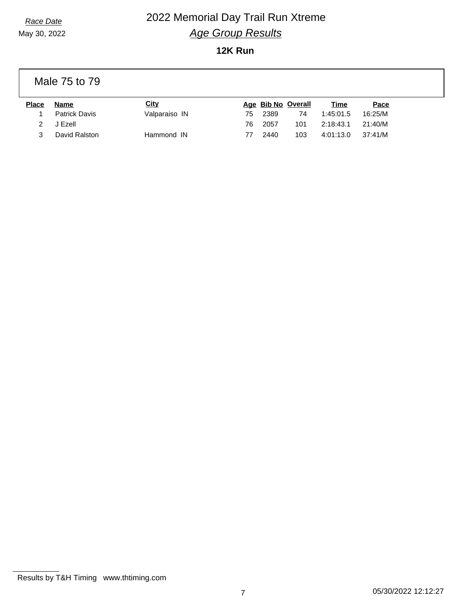## *Race Date* 2022 Memorial Day Trail Run Xtreme *Age Group Results*

**12K Run**

Male 75 to 79

| <b>Place</b> | Name          | City          |    |      | Age Bib No Overall | Time      | Pace    |
|--------------|---------------|---------------|----|------|--------------------|-----------|---------|
|              | Patrick Davis | Valparaiso IN | 75 | 2389 | 74                 | 1:45:01.5 | 16:25/M |
|              | J Ezell       |               | 76 | 2057 | 101                | 2:18:43.1 | 21:40/M |
|              | David Ralston | Hammond IN    |    | 2440 | 103                | 4:01:13.0 | 37:41/M |

Results by T&H Timing www.thtiming.com